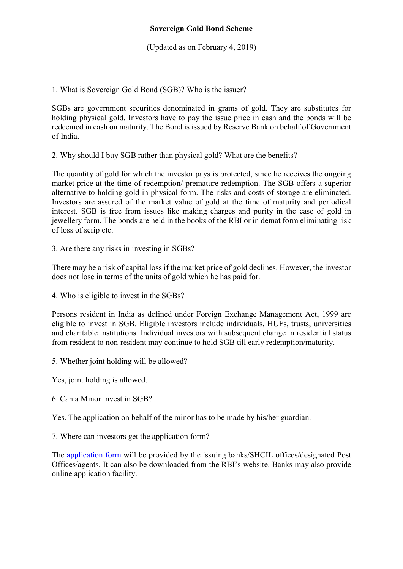(Updated as on February 4, 2019)

1. What is Sovereign Gold Bond (SGB)? Who is the issuer?

SGBs are government securities denominated in grams of gold. They are substitutes for holding physical gold. Investors have to pay the issue price in cash and the bonds will be redeemed in cash on maturity. The Bond is issued by Reserve Bank on behalf of Government of India.

2. Why should I buy SGB rather than physical gold? What are the benefits?

The quantity of gold for which the investor pays is protected, since he receives the ongoing market price at the time of redemption/ premature redemption. The SGB offers a superior alternative to holding gold in physical form. The risks and costs of storage are eliminated. Investors are assured of the market value of gold at the time of maturity and periodical interest. SGB is free from issues like making charges and purity in the case of gold in jewellery form. The bonds are held in the books of the RBI or in demat form eliminating risk of loss of scrip etc.

3. Are there any risks in investing in SGBs?

There may be a risk of capital loss if the market price of gold declines. However, the investor does not lose in terms of the units of gold which he has paid for.

4. Who is eligible to invest in the SGBs?

Persons resident in India as defined under Foreign Exchange Management Act, 1999 are eligible to invest in SGB. Eligible investors include individuals, HUFs, trusts, universities and charitable institutions. Individual investors with subsequent change in residential status from resident to non-resident may continue to hold SGB till early redemption/maturity.

- 5. Whether joint holding will be allowed?
- Yes, joint holding is allowed.
- 6. Can a Minor invest in SGB?

Yes. The application on behalf of the minor has to be made by his/her guardian.

7. Where can investors get the application form?

The application form will be provided by the issuing banks/SHCIL offices/designated Post Offices/agents. It can also be downloaded from the RBI's website. Banks may also provide online application facility.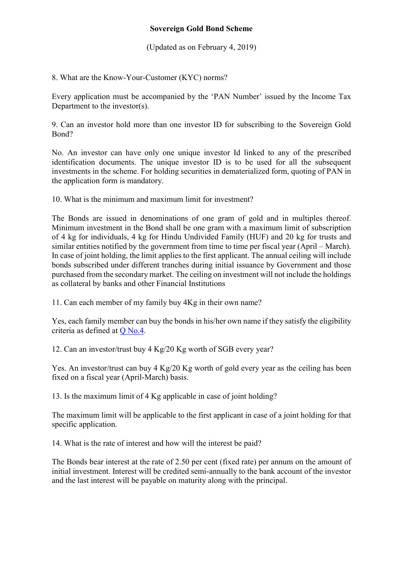(Updated as on February 4, 2019)

8. What are the Know-Your-Customer (KYC) norms?

Every application must be accompanied by the 'PAN Number' issued by the Income Tax Department to the investor(s).

9. Can an investor hold more than one investor ID for subscribing to the Sovereign Gold Bond?

No. An investor can have only one unique investor Id linked to any of the prescribed identification documents. The unique investor ID is to be used for all the subsequent investments in the scheme. For holding securities in dematerialized form, quoting of PAN in the application form is mandatory.

10. What is the minimum and maximum limit for investment?

The Bonds are issued in denominations of one gram of gold and in multiples thereof. Minimum investment in the Bond shall be one gram with a maximum limit of subscription of 4 kg for individuals, 4 kg for Hindu Undivided Family (HUF) and 20 kg for trusts and similar entities notified by the government from time to time per fiscal year (April – March). In case of joint holding, the limit applies to the first applicant. The annual ceiling will include bonds subscribed under different tranches during initial issuance by Government and those purchased from the secondary market. The ceiling on investment will not include the holdings as collateral by banks and other Financial Institutions

11. Can each member of my family buy 4Kg in their own name?

Yes, each family member can buy the bonds in his/her own name if they satisfy the eligibility criteria as defined at Q No.4.

12. Can an investor/trust buy 4 Kg/20 Kg worth of SGB every year?

Yes. An investor/trust can buy 4 Kg/20 Kg worth of gold every year as the ceiling has been fixed on a fiscal year (April-March) basis.

13. Is the maximum limit of 4 Kg applicable in case of joint holding?

The maximum limit will be applicable to the first applicant in case of a joint holding for that specific application.

14. What is the rate of interest and how will the interest be paid?

The Bonds bear interest at the rate of 2.50 per cent (fixed rate) per annum on the amount of initial investment. Interest will be credited semi-annually to the bank account of the investor and the last interest will be payable on maturity along with the principal.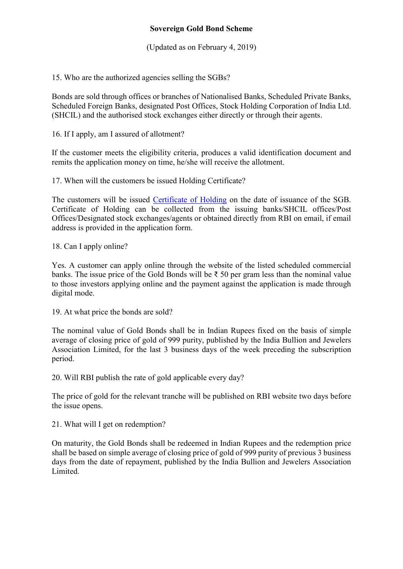(Updated as on February 4, 2019)

15. Who are the authorized agencies selling the SGBs?

Bonds are sold through offices or branches of Nationalised Banks, Scheduled Private Banks, Scheduled Foreign Banks, designated Post Offices, Stock Holding Corporation of India Ltd. (SHCIL) and the authorised stock exchanges either directly or through their agents.

16. If I apply, am I assured of allotment?

If the customer meets the eligibility criteria, produces a valid identification document and remits the application money on time, he/she will receive the allotment.

17. When will the customers be issued Holding Certificate?

The customers will be issued Certificate of Holding on the date of issuance of the SGB. Certificate of Holding can be collected from the issuing banks/SHCIL offices/Post Offices/Designated stock exchanges/agents or obtained directly from RBI on email, if email address is provided in the application form.

18. Can I apply online?

Yes. A customer can apply online through the website of the listed scheduled commercial banks. The issue price of the Gold Bonds will be  $\bar{\tau}$  50 per gram less than the nominal value to those investors applying online and the payment against the application is made through digital mode.

19. At what price the bonds are sold?

The nominal value of Gold Bonds shall be in Indian Rupees fixed on the basis of simple average of closing price of gold of 999 purity, published by the India Bullion and Jewelers Association Limited, for the last 3 business days of the week preceding the subscription period.

20. Will RBI publish the rate of gold applicable every day?

The price of gold for the relevant tranche will be published on RBI website two days before the issue opens.

21. What will I get on redemption?

On maturity, the Gold Bonds shall be redeemed in Indian Rupees and the redemption price shall be based on simple average of closing price of gold of 999 purity of previous 3 business days from the date of repayment, published by the India Bullion and Jewelers Association Limited.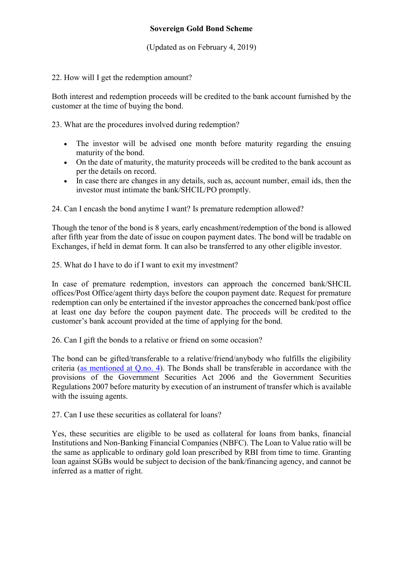## Sovereign Gold Bond Scheme

(Updated as on February 4, 2019)

## 22. How will I get the redemption amount?

Both interest and redemption proceeds will be credited to the bank account furnished by the customer at the time of buying the bond.

23. What are the procedures involved during redemption?

- The investor will be advised one month before maturity regarding the ensuing maturity of the bond.
- On the date of maturity, the maturity proceeds will be credited to the bank account as per the details on record.
- In case there are changes in any details, such as, account number, email ids, then the investor must intimate the bank/SHCIL/PO promptly.

24. Can I encash the bond anytime I want? Is premature redemption allowed?

Though the tenor of the bond is 8 years, early encashment/redemption of the bond is allowed after fifth year from the date of issue on coupon payment dates. The bond will be tradable on Exchanges, if held in demat form. It can also be transferred to any other eligible investor.

25. What do I have to do if I want to exit my investment?

In case of premature redemption, investors can approach the concerned bank/SHCIL offices/Post Office/agent thirty days before the coupon payment date. Request for premature redemption can only be entertained if the investor approaches the concerned bank/post office at least one day before the coupon payment date. The proceeds will be credited to the customer's bank account provided at the time of applying for the bond.

26. Can I gift the bonds to a relative or friend on some occasion?

The bond can be gifted/transferable to a relative/friend/anybody who fulfills the eligibility criteria (as mentioned at Q.no. 4). The Bonds shall be transferable in accordance with the provisions of the Government Securities Act 2006 and the Government Securities Regulations 2007 before maturity by execution of an instrument of transfer which is available with the issuing agents.

27. Can I use these securities as collateral for loans?

Yes, these securities are eligible to be used as collateral for loans from banks, financial Institutions and Non-Banking Financial Companies (NBFC). The Loan to Value ratio will be the same as applicable to ordinary gold loan prescribed by RBI from time to time. Granting loan against SGBs would be subject to decision of the bank/financing agency, and cannot be inferred as a matter of right.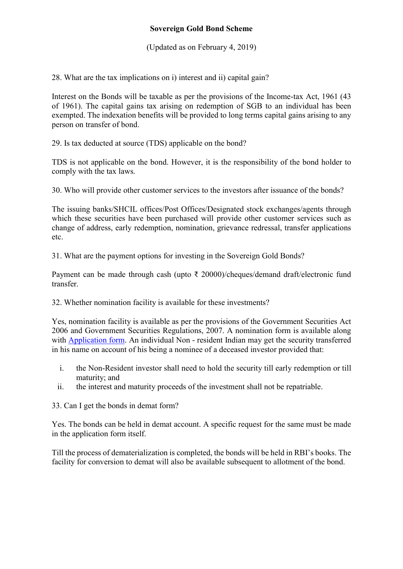## Sovereign Gold Bond Scheme

(Updated as on February 4, 2019)

28. What are the tax implications on i) interest and ii) capital gain?

Interest on the Bonds will be taxable as per the provisions of the Income-tax Act, 1961 (43 of 1961). The capital gains tax arising on redemption of SGB to an individual has been exempted. The indexation benefits will be provided to long terms capital gains arising to any person on transfer of bond.

29. Is tax deducted at source (TDS) applicable on the bond?

TDS is not applicable on the bond. However, it is the responsibility of the bond holder to comply with the tax laws.

30. Who will provide other customer services to the investors after issuance of the bonds?

The issuing banks/SHCIL offices/Post Offices/Designated stock exchanges/agents through which these securities have been purchased will provide other customer services such as change of address, early redemption, nomination, grievance redressal, transfer applications etc.

31. What are the payment options for investing in the Sovereign Gold Bonds?

Payment can be made through cash (upto ₹ 20000)/cheques/demand draft/electronic fund transfer.

32. Whether nomination facility is available for these investments?

Yes, nomination facility is available as per the provisions of the Government Securities Act 2006 and Government Securities Regulations, 2007. A nomination form is available along with Application form. An individual Non - resident Indian may get the security transferred in his name on account of his being a nominee of a deceased investor provided that:

- i. the Non-Resident investor shall need to hold the security till early redemption or till maturity; and
- ii. the interest and maturity proceeds of the investment shall not be repatriable.

33. Can I get the bonds in demat form?

Yes. The bonds can be held in demat account. A specific request for the same must be made in the application form itself.

Till the process of dematerialization is completed, the bonds will be held in RBI's books. The facility for conversion to demat will also be available subsequent to allotment of the bond.